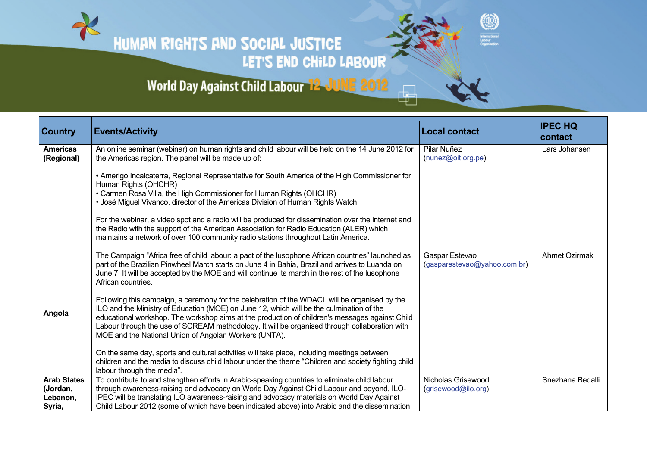HUMAN RIGHTS AND SOCIAL JUSTICE LET'S END CHILD LABOUR

## World Day Against Child Labour<sup>-12</sup>-JUNE 2012

| <b>Country</b>                                       | <b>Events/Activity</b>                                                                                                                                                                                                                                                                                                                                                                                                                                | <b>Local contact</b>                           | <b>IPEC HQ</b><br>contact |
|------------------------------------------------------|-------------------------------------------------------------------------------------------------------------------------------------------------------------------------------------------------------------------------------------------------------------------------------------------------------------------------------------------------------------------------------------------------------------------------------------------------------|------------------------------------------------|---------------------------|
| <b>Americas</b><br>(Regional)                        | An online seminar (webinar) on human rights and child labour will be held on the 14 June 2012 for<br>the Americas region. The panel will be made up of:                                                                                                                                                                                                                                                                                               | Pilar Nuñez<br>$(nunez@oit.org-pe)$            | Lars Johansen             |
|                                                      | • Amerigo Incalcaterra, Regional Representative for South America of the High Commissioner for<br>Human Rights (OHCHR)<br>• Carmen Rosa Villa, the High Commissioner for Human Rights (OHCHR)                                                                                                                                                                                                                                                         |                                                |                           |
|                                                      | • José Miguel Vivanco, director of the Americas Division of Human Rights Watch                                                                                                                                                                                                                                                                                                                                                                        |                                                |                           |
|                                                      | For the webinar, a video spot and a radio will be produced for dissemination over the internet and<br>the Radio with the support of the American Association for Radio Education (ALER) which<br>maintains a network of over 100 community radio stations throughout Latin America.                                                                                                                                                                   |                                                |                           |
|                                                      | The Campaign "Africa free of child labour: a pact of the lusophone African countries" launched as<br>part of the Brazilian Pinwheel March starts on June 4 in Bahia, Brazil and arrives to Luanda on<br>June 7. It will be accepted by the MOE and will continue its march in the rest of the lusophone<br>African countries.                                                                                                                         | Gaspar Estevao<br>(gasparestevao@yahoo.com.br) | <b>Ahmet Ozirmak</b>      |
| Angola                                               | Following this campaign, a ceremony for the celebration of the WDACL will be organised by the<br>ILO and the Ministry of Education (MOE) on June 12, which will be the culmination of the<br>educational workshop. The workshop aims at the production of children's messages against Child<br>Labour through the use of SCREAM methodology. It will be organised through collaboration with<br>MOE and the National Union of Angolan Workers (UNTA). |                                                |                           |
|                                                      | On the same day, sports and cultural activities will take place, including meetings between<br>children and the media to discuss child labour under the theme "Children and society fighting child<br>labour through the media".                                                                                                                                                                                                                      |                                                |                           |
| <b>Arab States</b><br>(Jordan,<br>Lebanon,<br>Syria, | To contribute to and strengthen efforts in Arabic-speaking countries to eliminate child labour<br>through awareness-raising and advocacy on World Day Against Child Labour and beyond, ILO-<br>IPEC will be translating ILO awareness-raising and advocacy materials on World Day Against<br>Child Labour 2012 (some of which have been indicated above) into Arabic and the dissemination                                                            | Nicholas Grisewood<br>(grisewood@ilo.org)      | Snezhana Bedalli          |

0

International<br>Labour<br>Organization

 $\overline{\oplus}$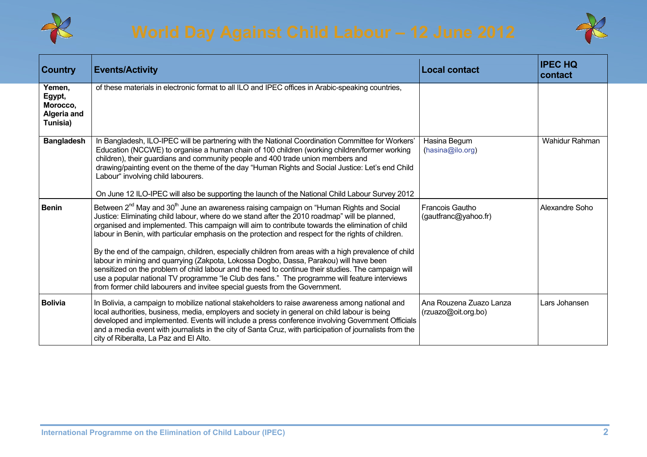



| <b>Country</b>                                          | <b>Events/Activity</b>                                                                                                                                                                                                                                                                                                                                                                                                                                                                                                                                                                                                                                                                                                                                                                                                                                                                                               | <b>Local contact</b>                           | <b>IPEC HQ</b><br>contact |
|---------------------------------------------------------|----------------------------------------------------------------------------------------------------------------------------------------------------------------------------------------------------------------------------------------------------------------------------------------------------------------------------------------------------------------------------------------------------------------------------------------------------------------------------------------------------------------------------------------------------------------------------------------------------------------------------------------------------------------------------------------------------------------------------------------------------------------------------------------------------------------------------------------------------------------------------------------------------------------------|------------------------------------------------|---------------------------|
| Yemen,<br>Egypt,<br>Morocco,<br>Algeria and<br>Tunisia) | of these materials in electronic format to all ILO and IPEC offices in Arabic-speaking countries,                                                                                                                                                                                                                                                                                                                                                                                                                                                                                                                                                                                                                                                                                                                                                                                                                    |                                                |                           |
| <b>Bangladesh</b>                                       | In Bangladesh, ILO-IPEC will be partnering with the National Coordination Committee for Workers'<br>Education (NCCWE) to organise a human chain of 100 children (working children/former working<br>children), their guardians and community people and 400 trade union members and<br>drawing/painting event on the theme of the day "Human Rights and Social Justice: Let's end Child<br>Labour" involving child labourers.<br>On June 12 ILO-IPEC will also be supporting the launch of the National Child Labour Survey 2012                                                                                                                                                                                                                                                                                                                                                                                     | Hasina Begum<br>(hasina@ilo.org)               | <b>Wahidur Rahman</b>     |
| <b>Benin</b>                                            | Between 2 <sup>nd</sup> May and 30 <sup>th</sup> June an awareness raising campaign on "Human Rights and Social<br>Justice: Eliminating child labour, where do we stand after the 2010 roadmap" will be planned,<br>organised and implemented. This campaign will aim to contribute towards the elimination of child<br>labour in Benin, with particular emphasis on the protection and respect for the rights of children.<br>By the end of the campaign, children, especially children from areas with a high prevalence of child<br>labour in mining and quarrying (Zakpota, Lokossa Dogbo, Dassa, Parakou) will have been<br>sensitized on the problem of child labour and the need to continue their studies. The campaign will<br>use a popular national TV programme "le Club des fans." The programme will feature interviews<br>from former child labourers and invitee special guests from the Government. | <b>Francois Gautho</b><br>(gautfranc@yahoo.fr) | Alexandre Soho            |
| <b>Bolivia</b>                                          | In Bolivia, a campaign to mobilize national stakeholders to raise awareness among national and<br>local authorities, business, media, employers and society in general on child labour is being<br>developed and implemented. Events will include a press conference involving Government Officials<br>and a media event with journalists in the city of Santa Cruz, with participation of journalists from the<br>city of Riberalta, La Paz and El Alto.                                                                                                                                                                                                                                                                                                                                                                                                                                                            | Ana Rouzena Zuazo Lanza<br>(rzuazo@oit.org.bo) | Lars Johansen             |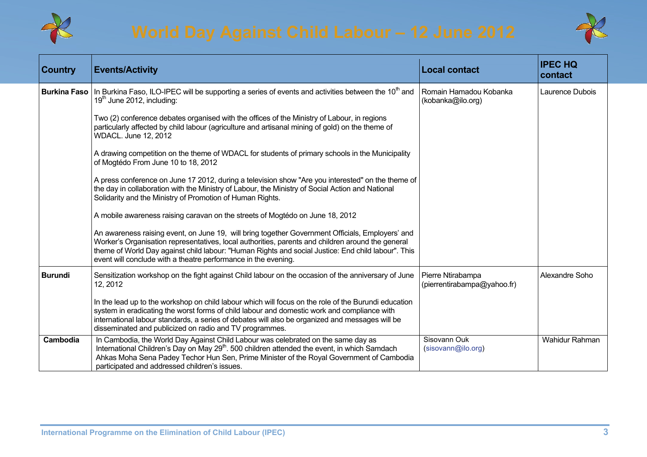



| <b>Country</b>      | <b>Events/Activity</b>                                                                                                                                                                                                                                                                                                                                                        | <b>Local contact</b>                             | <b>IPEC HQ</b><br>contact |
|---------------------|-------------------------------------------------------------------------------------------------------------------------------------------------------------------------------------------------------------------------------------------------------------------------------------------------------------------------------------------------------------------------------|--------------------------------------------------|---------------------------|
| <b>Burkina Faso</b> | In Burkina Faso, ILO-IPEC will be supporting a series of events and activities between the 10 <sup>th</sup> and<br>$19th$ June 2012, including:                                                                                                                                                                                                                               | Romain Hamadou Kobanka<br>(kobanka@ilo.org)      | Laurence Dubois           |
|                     | Two (2) conference debates organised with the offices of the Ministry of Labour, in regions<br>particularly affected by child labour (agriculture and artisanal mining of gold) on the theme of<br>WDACL. June 12, 2012                                                                                                                                                       |                                                  |                           |
|                     | A drawing competition on the theme of WDACL for students of primary schools in the Municipality<br>of Mogtédo From June 10 to 18, 2012                                                                                                                                                                                                                                        |                                                  |                           |
|                     | A press conference on June 17 2012, during a television show "Are you interested" on the theme of<br>the day in collaboration with the Ministry of Labour, the Ministry of Social Action and National<br>Solidarity and the Ministry of Promotion of Human Rights.                                                                                                            |                                                  |                           |
|                     | A mobile awareness raising caravan on the streets of Mogtédo on June 18, 2012                                                                                                                                                                                                                                                                                                 |                                                  |                           |
|                     | An awareness raising event, on June 19, will bring together Government Officials, Employers' and<br>Worker's Organisation representatives, local authorities, parents and children around the general<br>theme of World Day against child labour: "Human Rights and social Justice: End child labour". This<br>event will conclude with a theatre performance in the evening. |                                                  |                           |
| <b>Burundi</b>      | Sensitization workshop on the fight against Child labour on the occasion of the anniversary of June<br>12, 2012                                                                                                                                                                                                                                                               | Pierre Ntirabampa<br>(pierrentirabampa@yahoo.fr) | Alexandre Soho            |
|                     | In the lead up to the workshop on child labour which will focus on the role of the Burundi education<br>system in eradicating the worst forms of child labour and domestic work and compliance with<br>international labour standards, a series of debates will also be organized and messages will be<br>disseminated and publicized on radio and TV programmes.             |                                                  |                           |
| Cambodia            | In Cambodia, the World Day Against Child Labour was celebrated on the same day as<br>International Children's Day on May 29 <sup>th</sup> . 500 children attended the event, in which Samdach<br>Ahkas Moha Sena Padey Techor Hun Sen, Prime Minister of the Royal Government of Cambodia<br>participated and addressed children's issues.                                    | Sisovann Ouk<br>(sisovann@ilo.org)               | Wahidur Rahman            |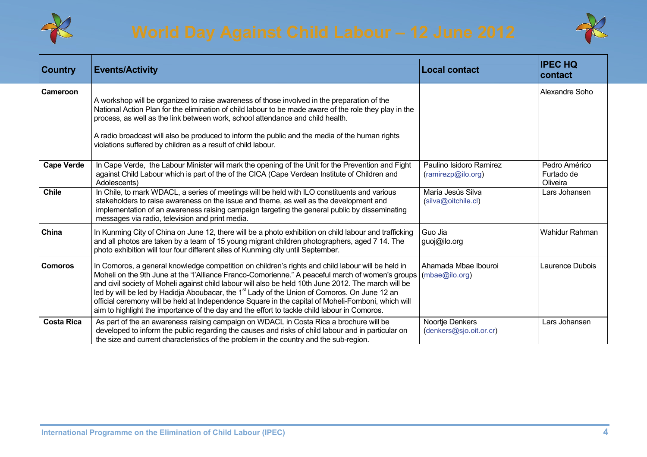



| <b>Country</b>    | <b>Events/Activity</b>                                                                                                                                                                                                                                                                                                                                                                                                                                                                                                                                                                                                          | <b>Local contact</b>                          | <b>IPEC HQ</b><br>contact               |
|-------------------|---------------------------------------------------------------------------------------------------------------------------------------------------------------------------------------------------------------------------------------------------------------------------------------------------------------------------------------------------------------------------------------------------------------------------------------------------------------------------------------------------------------------------------------------------------------------------------------------------------------------------------|-----------------------------------------------|-----------------------------------------|
| Cameroon          | A workshop will be organized to raise awareness of those involved in the preparation of the<br>National Action Plan for the elimination of child labour to be made aware of the role they play in the<br>process, as well as the link between work, school attendance and child health.<br>A radio broadcast will also be produced to inform the public and the media of the human rights<br>violations suffered by children as a result of child labour.                                                                                                                                                                       |                                               | Alexandre Soho                          |
| <b>Cape Verde</b> | In Cape Verde, the Labour Minister will mark the opening of the Unit for the Prevention and Fight<br>against Child Labour which is part of the of the CICA (Cape Verdean Institute of Children and<br>Adolescents)                                                                                                                                                                                                                                                                                                                                                                                                              | Paulino Isidoro Ramirez<br>(ramirezp@ilo.org) | Pedro Américo<br>Furtado de<br>Oliveira |
| <b>Chile</b>      | In Chile, to mark WDACL, a series of meetings will be held with ILO constituents and various<br>stakeholders to raise awareness on the issue and theme, as well as the development and<br>implementation of an awareness raising campaign targeting the general public by disseminating<br>messages via radio, television and print media.                                                                                                                                                                                                                                                                                      | María Jesús Silva<br>(silva@oitchile.cl)      | Lars Johansen                           |
| China             | In Kunming City of China on June 12, there will be a photo exhibition on child labour and trafficking<br>and all photos are taken by a team of 15 young migrant children photographers, aged 7 14. The<br>photo exhibition will tour four different sites of Kunming city until September.                                                                                                                                                                                                                                                                                                                                      | Guo Jia<br>guoj@ilo.org                       | Wahidur Rahman                          |
| <b>Comoros</b>    | In Comoros, a general knowledge competition on children's rights and child labour will be held in<br>Moheli on the 9th June at the "l'Alliance Franco-Comorienne." A peaceful march of women's groups<br>and civil society of Moheli against child labour will also be held 10th June 2012. The march will be<br>led by will be led by Hadidja Aboubacar, the 1 <sup>st</sup> Lady of the Union of Comoros. On June 12 an<br>official ceremony will be held at Independence Square in the capital of Moheli-Fomboni, which will<br>aim to highlight the importance of the day and the effort to tackle child labour in Comoros. | Ahamada Mbae Ibouroi<br>(mbae@ilo.org)        | Laurence Dubois                         |
| <b>Costa Rica</b> | As part of the an awareness raising campaign on WDACL in Costa Rica a brochure will be<br>developed to inform the public regarding the causes and risks of child labour and in particular on<br>the size and current characteristics of the problem in the country and the sub-region.                                                                                                                                                                                                                                                                                                                                          | Noortje Denkers<br>(denkers@sjo.oit.or.cr)    | Lars Johansen                           |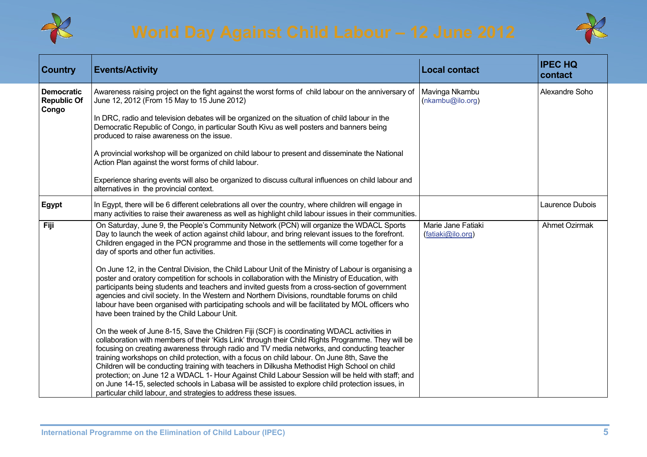



| <b>Country</b>                                   | <b>Events/Activity</b>                                                                                                                                                                                                                                                                                                                                                                                                                                                                                                                                                                                                                                                                                                                                                      | <b>Local contact</b>                    | <b>IPEC HQ</b><br>contact |
|--------------------------------------------------|-----------------------------------------------------------------------------------------------------------------------------------------------------------------------------------------------------------------------------------------------------------------------------------------------------------------------------------------------------------------------------------------------------------------------------------------------------------------------------------------------------------------------------------------------------------------------------------------------------------------------------------------------------------------------------------------------------------------------------------------------------------------------------|-----------------------------------------|---------------------------|
| <b>Democratic</b><br><b>Republic Of</b><br>Congo | Awareness raising project on the fight against the worst forms of child labour on the anniversary of<br>June 12, 2012 (From 15 May to 15 June 2012)                                                                                                                                                                                                                                                                                                                                                                                                                                                                                                                                                                                                                         | Mavinga Nkambu<br>(nkambu@ilo.org)      | Alexandre Soho            |
|                                                  | In DRC, radio and television debates will be organized on the situation of child labour in the<br>Democratic Republic of Congo, in particular South Kivu as well posters and banners being<br>produced to raise awareness on the issue.                                                                                                                                                                                                                                                                                                                                                                                                                                                                                                                                     |                                         |                           |
|                                                  | A provincial workshop will be organized on child labour to present and disseminate the National<br>Action Plan against the worst forms of child labour.                                                                                                                                                                                                                                                                                                                                                                                                                                                                                                                                                                                                                     |                                         |                           |
|                                                  | Experience sharing events will also be organized to discuss cultural influences on child labour and<br>alternatives in the provincial context.                                                                                                                                                                                                                                                                                                                                                                                                                                                                                                                                                                                                                              |                                         |                           |
| Egypt                                            | In Egypt, there will be 6 different celebrations all over the country, where children will engage in<br>many activities to raise their awareness as well as highlight child labour issues in their communities.                                                                                                                                                                                                                                                                                                                                                                                                                                                                                                                                                             |                                         | Laurence Dubois           |
| Fiji                                             | On Saturday, June 9, the People's Community Network (PCN) will organize the WDACL Sports<br>Day to launch the week of action against child labour, and bring relevant issues to the forefront.<br>Children engaged in the PCN programme and those in the settlements will come together for a<br>day of sports and other fun activities.                                                                                                                                                                                                                                                                                                                                                                                                                                    | Marie Jane Fatiaki<br>(fatiaki@ilo.org) | <b>Ahmet Ozirmak</b>      |
|                                                  | On June 12, in the Central Division, the Child Labour Unit of the Ministry of Labour is organising a<br>poster and oratory competition for schools in collaboration with the Ministry of Education, with<br>participants being students and teachers and invited guests from a cross-section of government<br>agencies and civil society. In the Western and Northern Divisions, roundtable forums on child<br>labour have been organised with participating schools and will be facilitated by MOL officers who<br>have been trained by the Child Labour Unit.                                                                                                                                                                                                             |                                         |                           |
|                                                  | On the week of June 8-15, Save the Children Fiji (SCF) is coordinating WDACL activities in<br>collaboration with members of their 'Kids Link' through their Child Rights Programme. They will be<br>focusing on creating awareness through radio and TV media networks, and conducting teacher<br>training workshops on child protection, with a focus on child labour. On June 8th, Save the<br>Children will be conducting training with teachers in Dilkusha Methodist High School on child<br>protection; on June 12 a WDACL 1- Hour Against Child Labour Session will be held with staff; and<br>on June 14-15, selected schools in Labasa will be assisted to explore child protection issues, in<br>particular child labour, and strategies to address these issues. |                                         |                           |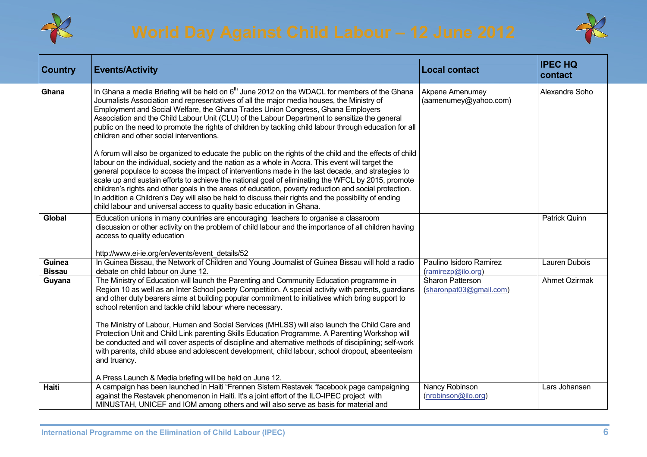



| <b>Country</b>          | <b>Events/Activity</b>                                                                                                                                                                                                                                                                                                                                                                                                                                                                                                                                                                                                                                                                                                                                                                                                                                     | <b>Local contact</b>                            | <b>IPEC HQ</b><br>contact |
|-------------------------|------------------------------------------------------------------------------------------------------------------------------------------------------------------------------------------------------------------------------------------------------------------------------------------------------------------------------------------------------------------------------------------------------------------------------------------------------------------------------------------------------------------------------------------------------------------------------------------------------------------------------------------------------------------------------------------------------------------------------------------------------------------------------------------------------------------------------------------------------------|-------------------------------------------------|---------------------------|
| Ghana                   | In Ghana a media Briefing will be held on 6 <sup>th</sup> June 2012 on the WDACL for members of the Ghana<br>Journalists Association and representatives of all the major media houses, the Ministry of<br>Employment and Social Welfare, the Ghana Trades Union Congress, Ghana Employers<br>Association and the Child Labour Unit (CLU) of the Labour Department to sensitize the general<br>public on the need to promote the rights of children by tackling child labour through education for all<br>children and other social interventions.                                                                                                                                                                                                                                                                                                         | <b>Akpene Amenumey</b><br>(aamenumey@yahoo.com) | Alexandre Soho            |
|                         | A forum will also be organized to educate the public on the rights of the child and the effects of child<br>labour on the individual, society and the nation as a whole in Accra. This event will target the<br>general populace to access the impact of interventions made in the last decade, and strategies to<br>scale up and sustain efforts to achieve the national goal of eliminating the WFCL by 2015, promote<br>children's rights and other goals in the areas of education, poverty reduction and social protection.<br>In addition a Children's Day will also be held to discuss their rights and the possibility of ending<br>child labour and universal access to quality basic education in Ghana.                                                                                                                                         |                                                 |                           |
| Global                  | Education unions in many countries are encouraging teachers to organise a classroom<br>discussion or other activity on the problem of child labour and the importance of all children having<br>access to quality education<br>http://www.ei-ie.org/en/events/event_details/52                                                                                                                                                                                                                                                                                                                                                                                                                                                                                                                                                                             |                                                 | Patrick Quinn             |
| Guinea<br><b>Bissau</b> | In Guinea Bissau, the Network of Children and Young Journalist of Guinea Bissau will hold a radio<br>debate on child labour on June 12.                                                                                                                                                                                                                                                                                                                                                                                                                                                                                                                                                                                                                                                                                                                    | Paulino Isidoro Ramirez<br>(ramirezp@ilo.org)   | Lauren Dubois             |
| Guyana                  | The Ministry of Education will launch the Parenting and Community Education programme in<br>Region 10 as well as an Inter School poetry Competition. A special activity with parents, guardians<br>and other duty bearers aims at building popular commitment to initiatives which bring support to<br>school retention and tackle child labour where necessary.<br>The Ministry of Labour, Human and Social Services (MHLSS) will also launch the Child Care and<br>Protection Unit and Child Link parenting Skills Education Programme. A Parenting Workshop will<br>be conducted and will cover aspects of discipline and alternative methods of disciplining; self-work<br>with parents, child abuse and adolescent development, child labour, school dropout, absenteeism<br>and truancy.<br>A Press Launch & Media briefing will be held on June 12. | Sharon Patterson<br>(sharonpat03@gmail.com)     | <b>Ahmet Ozirmak</b>      |
| <b>Haiti</b>            | A campaign has been launched in Haiti "Frennen Sistem Restavek "facebook page campaigning<br>against the Restavek phenomenon in Haiti. It's a joint effort of the ILO-IPEC project with<br>MINUSTAH, UNICEF and IOM among others and will also serve as basis for material and                                                                                                                                                                                                                                                                                                                                                                                                                                                                                                                                                                             | Nancy Robinson<br>(nrobinson@ilo.org)           | Lars Johansen             |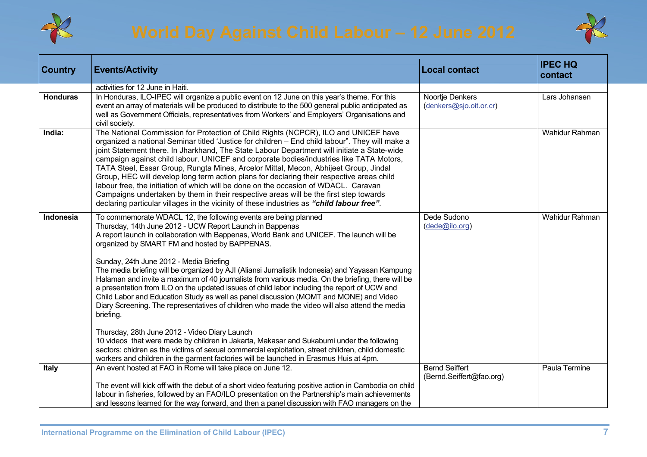



| <b>Country</b>  | <b>Events/Activity</b>                                                                                                                                                                                                                                                                                                                                                                                                                                                                                                                                                                                                                                                                                                                                                                                                                                                                                                                                                                                                                                                                                                                                                             | <b>Local contact</b>                              | <b>IPEC HQ</b><br>contact |
|-----------------|------------------------------------------------------------------------------------------------------------------------------------------------------------------------------------------------------------------------------------------------------------------------------------------------------------------------------------------------------------------------------------------------------------------------------------------------------------------------------------------------------------------------------------------------------------------------------------------------------------------------------------------------------------------------------------------------------------------------------------------------------------------------------------------------------------------------------------------------------------------------------------------------------------------------------------------------------------------------------------------------------------------------------------------------------------------------------------------------------------------------------------------------------------------------------------|---------------------------------------------------|---------------------------|
|                 | activities for 12 June in Haiti.                                                                                                                                                                                                                                                                                                                                                                                                                                                                                                                                                                                                                                                                                                                                                                                                                                                                                                                                                                                                                                                                                                                                                   |                                                   |                           |
| <b>Honduras</b> | In Honduras, ILO-IPEC will organize a public event on 12 June on this year's theme. For this<br>event an array of materials will be produced to distribute to the 500 general public anticipated as<br>well as Government Officials, representatives from Workers' and Employers' Organisations and<br>civil society.                                                                                                                                                                                                                                                                                                                                                                                                                                                                                                                                                                                                                                                                                                                                                                                                                                                              | Noortje Denkers<br>(denkers@sjo.oit.or.cr)        | Lars Johansen             |
| India:          | The National Commission for Protection of Child Rights (NCPCR), ILO and UNICEF have<br>organized a national Seminar titled 'Justice for children - End child labour". They will make a<br>joint Statement there. In Jharkhand, The State Labour Department will initiate a State-wide<br>campaign against child labour. UNICEF and corporate bodies/industries like TATA Motors,<br>TATA Steel, Essar Group, Rungta Mines, Arcelor Mittal, Mecon, Abhijeet Group, Jindal<br>Group, HEC will develop long term action plans for declaring their respective areas child<br>labour free, the initiation of which will be done on the occasion of WDACL. Caravan<br>Campaigns undertaken by them in their respective areas will be the first step towards<br>declaring particular villages in the vicinity of these industries as "child labour free".                                                                                                                                                                                                                                                                                                                                 |                                                   | Wahidur Rahman            |
| Indonesia       | To commemorate WDACL 12, the following events are being planned<br>Thursday, 14th June 2012 - UCW Report Launch in Bappenas<br>A report launch in collaboration with Bappenas, World Bank and UNICEF. The launch will be<br>organized by SMART FM and hosted by BAPPENAS.<br>Sunday, 24th June 2012 - Media Briefing<br>The media briefing will be organized by AJI (Aliansi Jurnalistik Indonesia) and Yayasan Kampung<br>Halaman and invite a maximum of 40 journalists from various media. On the briefing, there will be<br>a presentation from ILO on the updated issues of child labor including the report of UCW and<br>Child Labor and Education Study as well as panel discussion (MOMT and MONE) and Video<br>Diary Screening. The representatives of children who made the video will also attend the media<br>briefing.<br>Thursday, 28th June 2012 - Video Diary Launch<br>10 videos that were made by children in Jakarta, Makasar and Sukabumi under the following<br>sectors: chidren as the victims of sexual commercial exploitation, street children, child domestic<br>workers and children in the garment factories will be launched in Erasmus Huis at 4pm. | Dede Sudono<br>(dede@ilo.org)                     | Wahidur Rahman            |
| <b>Italy</b>    | An event hosted at FAO in Rome will take place on June 12.<br>The event will kick off with the debut of a short video featuring positive action in Cambodia on child<br>labour in fisheries, followed by an FAO/ILO presentation on the Partnership's main achievements<br>and lessons learned for the way forward, and then a panel discussion with FAO managers on the                                                                                                                                                                                                                                                                                                                                                                                                                                                                                                                                                                                                                                                                                                                                                                                                           | <b>Bernd Seiffert</b><br>(Bernd.Seiffert@fao.org) | Paula Termine             |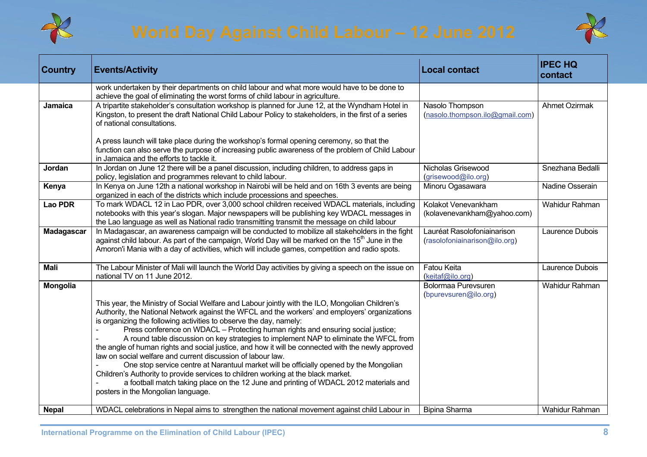



| <b>Country</b>    | <b>Events/Activity</b>                                                                                                                                                                                                                                                                                                                                                                                                                                                                                                                                                                                                                                                                                                                                                                                                                                                                                                                   | <b>Local contact</b>                                         | <b>IPEC HQ</b><br>contact |
|-------------------|------------------------------------------------------------------------------------------------------------------------------------------------------------------------------------------------------------------------------------------------------------------------------------------------------------------------------------------------------------------------------------------------------------------------------------------------------------------------------------------------------------------------------------------------------------------------------------------------------------------------------------------------------------------------------------------------------------------------------------------------------------------------------------------------------------------------------------------------------------------------------------------------------------------------------------------|--------------------------------------------------------------|---------------------------|
|                   | work undertaken by their departments on child labour and what more would have to be done to<br>achieve the goal of eliminating the worst forms of child labour in agriculture.                                                                                                                                                                                                                                                                                                                                                                                                                                                                                                                                                                                                                                                                                                                                                           |                                                              |                           |
| Jamaica           | A tripartite stakeholder's consultation workshop is planned for June 12, at the Wyndham Hotel in<br>Kingston, to present the draft National Child Labour Policy to stakeholders, in the first of a series<br>of national consultations.                                                                                                                                                                                                                                                                                                                                                                                                                                                                                                                                                                                                                                                                                                  | Nasolo Thompson<br>(nasolo.thompson.ilo@gmail.com)           | Ahmet Ozirmak             |
|                   | A press launch will take place during the workshop's formal opening ceremony, so that the<br>function can also serve the purpose of increasing public awareness of the problem of Child Labour<br>in Jamaica and the efforts to tackle it.                                                                                                                                                                                                                                                                                                                                                                                                                                                                                                                                                                                                                                                                                               |                                                              |                           |
| Jordan            | In Jordan on June 12 there will be a panel discussion, including children, to address gaps in<br>policy, legislation and programmes relevant to child labour.                                                                                                                                                                                                                                                                                                                                                                                                                                                                                                                                                                                                                                                                                                                                                                            | Nicholas Grisewood<br>(grisewood@ilo.org)                    | Snezhana Bedalli          |
| Kenya             | In Kenya on June 12th a national workshop in Nairobi will be held and on 16th 3 events are being<br>organized in each of the districts which include processions and speeches.                                                                                                                                                                                                                                                                                                                                                                                                                                                                                                                                                                                                                                                                                                                                                           | Minoru Ogasawara                                             | Nadine Osserain           |
| <b>Lao PDR</b>    | To mark WDACL 12 in Lao PDR, over 3,000 school children received WDACL materials, including<br>notebooks with this year's slogan. Major newspapers will be publishing key WDACL messages in<br>the Lao language as well as National radio transmitting transmit the message on child labour                                                                                                                                                                                                                                                                                                                                                                                                                                                                                                                                                                                                                                              | Kolakot Venevankham<br>(kolavenevankham@yahoo.com)           | Wahidur Rahman            |
| <b>Madagascar</b> | In Madagascar, an awareness campaign will be conducted to mobilize all stakeholders in the fight<br>against child labour. As part of the campaign, World Day will be marked on the $15th$ June in the<br>Amoron'i Mania with a day of activities, which will include games, competition and radio spots.                                                                                                                                                                                                                                                                                                                                                                                                                                                                                                                                                                                                                                 | Lauréat Rasolofoniainarison<br>(rasolofoniainarison@ilo.org) | Laurence Dubois           |
| <b>Mali</b>       | The Labour Minister of Mali will launch the World Day activities by giving a speech on the issue on<br>national TV on 11 June 2012.                                                                                                                                                                                                                                                                                                                                                                                                                                                                                                                                                                                                                                                                                                                                                                                                      | Fatou Keita<br>(keitaf@ilo.org)                              | Laurence Dubois           |
| Mongolia          | This year, the Ministry of Social Welfare and Labour jointly with the ILO, Mongolian Children's<br>Authority, the National Network against the WFCL and the workers' and employers' organizations<br>is organizing the following activities to observe the day, namely:<br>Press conference on WDACL - Protecting human rights and ensuring social justice;<br>A round table discussion on key strategies to implement NAP to eliminate the WFCL from<br>the angle of human rights and social justice, and how it will be connected with the newly approved<br>law on social welfare and current discussion of labour law.<br>One stop service centre at Narantuul market will be officially opened by the Mongolian<br>Children's Authority to provide services to children working at the black market.<br>a football match taking place on the 12 June and printing of WDACL 2012 materials and<br>posters in the Mongolian language. | Bolormaa Purevsuren<br>(bpurevsuren@ilo.org)                 | Wahidur Rahman            |
| <b>Nepal</b>      | WDACL celebrations in Nepal aims to strengthen the national movement against child Labour in                                                                                                                                                                                                                                                                                                                                                                                                                                                                                                                                                                                                                                                                                                                                                                                                                                             | Bipina Sharma                                                | Wahidur Rahman            |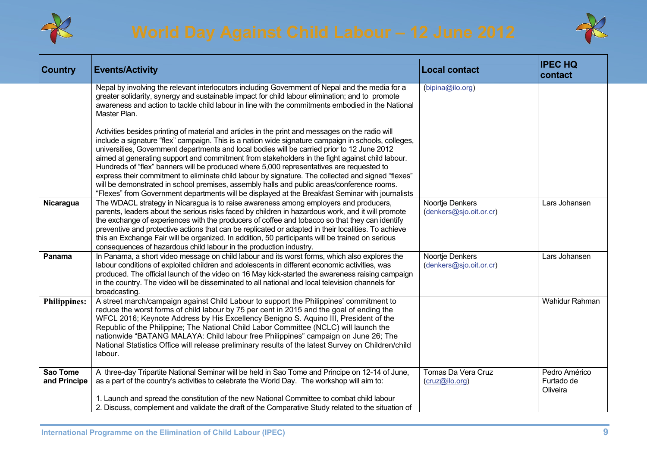



| <b>Country</b>           | <b>Events/Activity</b>                                                                                                                                                                                                                                                                                                                                                                                                                                                                                                                                                                                                                                                                                                                                                                                        | <b>Local contact</b>                       | <b>IPEC HQ</b><br>contact               |
|--------------------------|---------------------------------------------------------------------------------------------------------------------------------------------------------------------------------------------------------------------------------------------------------------------------------------------------------------------------------------------------------------------------------------------------------------------------------------------------------------------------------------------------------------------------------------------------------------------------------------------------------------------------------------------------------------------------------------------------------------------------------------------------------------------------------------------------------------|--------------------------------------------|-----------------------------------------|
|                          | Nepal by involving the relevant interlocutors including Government of Nepal and the media for a<br>greater solidarity, synergy and sustainable impact for child labour elimination; and to promote<br>awareness and action to tackle child labour in line with the commitments embodied in the National<br>Master Plan.                                                                                                                                                                                                                                                                                                                                                                                                                                                                                       | (bipina@ilo.org)                           |                                         |
|                          | Activities besides printing of material and articles in the print and messages on the radio will<br>include a signature "flex" campaign. This is a nation wide signature campaign in schools, colleges,<br>universities, Government departments and local bodies will be carried prior to 12 June 2012<br>aimed at generating support and commitment from stakeholders in the fight against child labour.<br>Hundreds of "flex" banners will be produced where 5,000 representatives are requested to<br>express their commitment to eliminate child labour by signature. The collected and signed "flexes"<br>will be demonstrated in school premises, assembly halls and public areas/conference rooms.<br>"Flexes" from Government departments will be displayed at the Breakfast Seminar with journalists |                                            |                                         |
| Nicaragua                | The WDACL strategy in Nicaragua is to raise awareness among employers and producers,<br>parents, leaders about the serious risks faced by children in hazardous work, and it will promote<br>the exchange of experiences with the producers of coffee and tobacco so that they can identify<br>preventive and protective actions that can be replicated or adapted in their localities. To achieve<br>this an Exchange Fair will be organized. In addition, 50 participants will be trained on serious<br>consequences of hazardous child labour in the production industry.                                                                                                                                                                                                                                  | Noortje Denkers<br>(denkers@sjo.oit.or.cr) | Lars Johansen                           |
| Panama                   | In Panama, a short video message on child labour and its worst forms, which also explores the<br>labour conditions of exploited children and adolescents in different economic activities, was<br>produced. The official launch of the video on 16 May kick-started the awareness raising campaign<br>in the country. The video will be disseminated to all national and local television channels for<br>broadcasting.                                                                                                                                                                                                                                                                                                                                                                                       | Noortje Denkers<br>(denkers@sjo.oit.or.cr) | Lars Johansen                           |
| <b>Philippines:</b>      | A street march/campaign against Child Labour to support the Philippines' commitment to<br>reduce the worst forms of child labour by 75 per cent in 2015 and the goal of ending the<br>WFCL 2016; Keynote Address by His Excellency Benigno S. Aquino III, President of the<br>Republic of the Philippine; The National Child Labor Committee (NCLC) will launch the<br>nationwide "BATANG MALAYA: Child labour free Philippines" campaign on June 26; The<br>National Statistics Office will release preliminary results of the latest Survey on Children/child<br>labour.                                                                                                                                                                                                                                    |                                            | Wahidur Rahman                          |
| Sao Tome<br>and Principe | A three-day Tripartite National Seminar will be held in Sao Tome and Principe on 12-14 of June,<br>as a part of the country's activities to celebrate the World Day. The workshop will aim to:<br>1. Launch and spread the constitution of the new National Committee to combat child labour<br>2. Discuss, complement and validate the draft of the Comparative Study related to the situation of                                                                                                                                                                                                                                                                                                                                                                                                            | Tomas Da Vera Cruz<br>(cruz@ilo.org)       | Pedro Américo<br>Furtado de<br>Oliveira |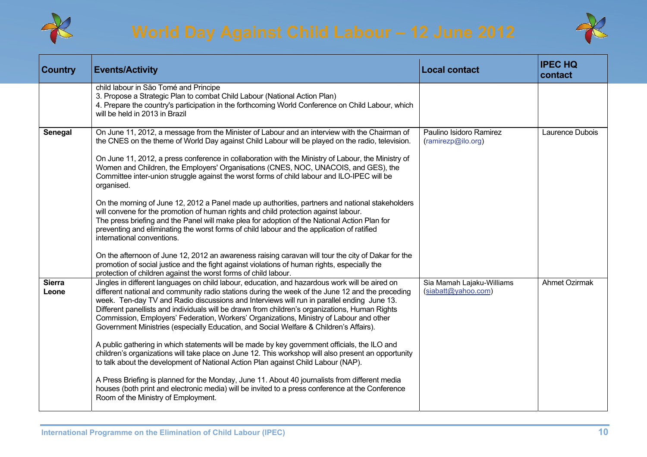



| <b>Country</b>         | <b>Events/Activity</b>                                                                                                                                                                                                                                                                                                                                                                                                                                                                                                                                                                  | <b>Local contact</b>                             | <b>IPEC HQ</b><br>contact |
|------------------------|-----------------------------------------------------------------------------------------------------------------------------------------------------------------------------------------------------------------------------------------------------------------------------------------------------------------------------------------------------------------------------------------------------------------------------------------------------------------------------------------------------------------------------------------------------------------------------------------|--------------------------------------------------|---------------------------|
|                        | child labour in São Tomé and Principe<br>3. Propose a Strategic Plan to combat Child Labour (National Action Plan)<br>4. Prepare the country's participation in the forthcoming World Conference on Child Labour, which<br>will be held in 2013 in Brazil                                                                                                                                                                                                                                                                                                                               |                                                  |                           |
| Senegal                | On June 11, 2012, a message from the Minister of Labour and an interview with the Chairman of<br>the CNES on the theme of World Day against Child Labour will be played on the radio, television.<br>On June 11, 2012, a press conference in collaboration with the Ministry of Labour, the Ministry of<br>Women and Children, the Employers' Organisations (CNES, NOC, UNACOIS, and GES), the<br>Committee inter-union struggle against the worst forms of child labour and ILO-IPEC will be<br>organised.                                                                             | Paulino Isidoro Ramirez<br>(ramirezp@ilo.org)    | Laurence Dubois           |
|                        | On the morning of June 12, 2012 a Panel made up authorities, partners and national stakeholders<br>will convene for the promotion of human rights and child protection against labour.<br>The press briefing and the Panel will make plea for adoption of the National Action Plan for<br>preventing and eliminating the worst forms of child labour and the application of ratified<br>international conventions.                                                                                                                                                                      |                                                  |                           |
|                        | On the afternoon of June 12, 2012 an awareness raising caravan will tour the city of Dakar for the<br>promotion of social justice and the fight against violations of human rights, especially the<br>protection of children against the worst forms of child labour.                                                                                                                                                                                                                                                                                                                   |                                                  |                           |
| <b>Sierra</b><br>Leone | Jingles in different languages on child labour, education, and hazardous work will be aired on<br>different national and community radio stations during the week of the June 12 and the preceding<br>week. Ten-day TV and Radio discussions and Interviews will run in parallel ending June 13.<br>Different panellists and individuals will be drawn from children's organizations, Human Rights<br>Commission, Employers' Federation, Workers' Organizations, Ministry of Labour and other<br>Government Ministries (especially Education, and Social Welfare & Children's Affairs). | Sia Mamah Lajaku-Williams<br>(siabatt@yahoo.com) | <b>Ahmet Ozirmak</b>      |
|                        | A public gathering in which statements will be made by key government officials, the ILO and<br>children's organizations will take place on June 12. This workshop will also present an opportunity<br>to talk about the development of National Action Plan against Child Labour (NAP).                                                                                                                                                                                                                                                                                                |                                                  |                           |
|                        | A Press Briefing is planned for the Monday, June 11. About 40 journalists from different media<br>houses (both print and electronic media) will be invited to a press conference at the Conference<br>Room of the Ministry of Employment.                                                                                                                                                                                                                                                                                                                                               |                                                  |                           |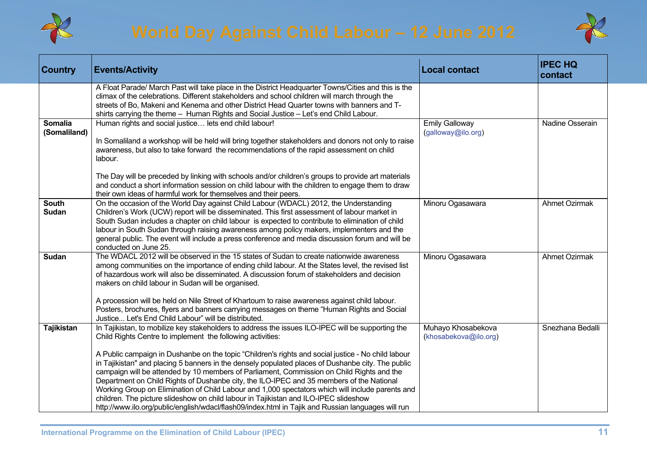



| <b>Country</b>                 | <b>Events/Activity</b>                                                                                                                                                                                                                                                                                                                                                                                                                                                                                                                                                                                                                                                                                                                                                                                                                                                | <b>Local contact</b>                        | <b>IPEC HQ</b><br>contact |
|--------------------------------|-----------------------------------------------------------------------------------------------------------------------------------------------------------------------------------------------------------------------------------------------------------------------------------------------------------------------------------------------------------------------------------------------------------------------------------------------------------------------------------------------------------------------------------------------------------------------------------------------------------------------------------------------------------------------------------------------------------------------------------------------------------------------------------------------------------------------------------------------------------------------|---------------------------------------------|---------------------------|
|                                | A Float Parade/ March Past will take place in the District Headquarter Towns/Cities and this is the<br>climax of the celebrations. Different stakeholders and school children will march through the<br>streets of Bo, Makeni and Kenema and other District Head Quarter towns with banners and T-<br>shirts carrying the theme - Human Rights and Social Justice - Let's end Child Labour.                                                                                                                                                                                                                                                                                                                                                                                                                                                                           |                                             |                           |
| <b>Somalia</b><br>(Somaliland) | Human rights and social justice lets end child labour!<br>In Somaliland a workshop will be held will bring together stakeholders and donors not only to raise<br>awareness, but also to take forward the recommendations of the rapid assessment on child<br>labour.                                                                                                                                                                                                                                                                                                                                                                                                                                                                                                                                                                                                  | <b>Emily Galloway</b><br>(galloway@ilo.org) | Nadine Osserain           |
|                                | The Day will be preceded by linking with schools and/or children's groups to provide art materials<br>and conduct a short information session on child labour with the children to engage them to draw<br>their own ideas of harmful work for themselves and their peers.                                                                                                                                                                                                                                                                                                                                                                                                                                                                                                                                                                                             |                                             |                           |
| <b>South</b><br><b>Sudan</b>   | On the occasion of the World Day against Child Labour (WDACL) 2012, the Understanding<br>Children's Work (UCW) report will be disseminated. This first assessment of labour market in<br>South Sudan includes a chapter on child labour is expected to contribute to elimination of child<br>labour in South Sudan through raising awareness among policy makers, implementers and the<br>general public. The event will include a press conference and media discussion forum and will be<br>conducted on June 25.                                                                                                                                                                                                                                                                                                                                                   | Minoru Ogasawara                            | <b>Ahmet Ozirmak</b>      |
| Sudan                          | The WDACL 2012 will be observed in the 15 states of Sudan to create nationwide awareness<br>among communities on the importance of ending child labour. At the States level, the revised list<br>of hazardous work will also be disseminated. A discussion forum of stakeholders and decision<br>makers on child labour in Sudan will be organised.<br>A procession will be held on Nile Street of Khartoum to raise awareness against child labour.<br>Posters, brochures, flyers and banners carrying messages on theme "Human Rights and Social<br>Justice Let's End Child Labour" will be distributed.                                                                                                                                                                                                                                                            | Minoru Ogasawara                            | <b>Ahmet Ozirmak</b>      |
| <b>Tajikistan</b>              | In Tajikistan, to mobilize key stakeholders to address the issues ILO-IPEC will be supporting the<br>Child Rights Centre to implement the following activities:<br>A Public campaign in Dushanbe on the topic "Children's rights and social justice - No child labour<br>in Tajikistan" and placing 5 banners in the densely populated places of Dushanbe city. The public<br>campaign will be attended by 10 members of Parliament, Commission on Child Rights and the<br>Department on Child Rights of Dushanbe city, the ILO-IPEC and 35 members of the National<br>Working Group on Elimination of Child Labour and 1,000 spectators which will include parents and<br>children. The picture slideshow on child labour in Tajikistan and ILO-IPEC slideshow<br>http://www.ilo.org/public/english/wdacl/flash09/index.html in Tajik and Russian languages will run | Muhayo Khosabekova<br>(khosabekova@ilo.org) | Snezhana Bedalli          |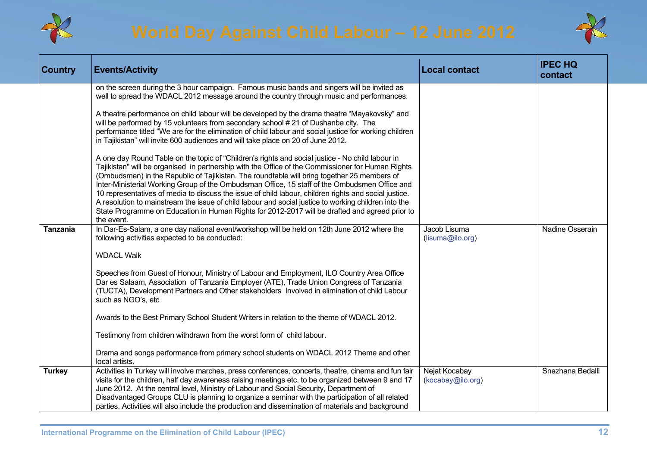



| Country         | <b>Events/Activity</b>                                                                                                                                                                                                                                                                                                                                                                                                                                                                                                                                                                                                                                                                                                                 | <b>Local contact</b>               | <b>IPEC HQ</b><br>contact |
|-----------------|----------------------------------------------------------------------------------------------------------------------------------------------------------------------------------------------------------------------------------------------------------------------------------------------------------------------------------------------------------------------------------------------------------------------------------------------------------------------------------------------------------------------------------------------------------------------------------------------------------------------------------------------------------------------------------------------------------------------------------------|------------------------------------|---------------------------|
|                 | on the screen during the 3 hour campaign. Famous music bands and singers will be invited as<br>well to spread the WDACL 2012 message around the country through music and performances.                                                                                                                                                                                                                                                                                                                                                                                                                                                                                                                                                |                                    |                           |
|                 | A theatre performance on child labour will be developed by the drama theatre "Mayakovsky" and<br>will be performed by 15 volunteers from secondary school #21 of Dushanbe city. The<br>performance titled "We are for the elimination of child labour and social justice for working children<br>in Tajikistan" will invite 600 audiences and will take place on 20 of June 2012.                                                                                                                                                                                                                                                                                                                                                      |                                    |                           |
|                 | A one day Round Table on the topic of "Children's rights and social justice - No child labour in<br>Tajikistan" will be organised in partnership with the Office of the Commissioner for Human Rights<br>(Ombudsmen) in the Republic of Tajikistan. The roundtable will bring together 25 members of<br>Inter-Ministerial Working Group of the Ombudsman Office, 15 staff of the Ombudsmen Office and<br>10 representatives of media to discuss the issue of child labour, children rights and social justice.<br>A resolution to mainstream the issue of child labour and social justice to working children into the<br>State Programme on Education in Human Rights for 2012-2017 will be drafted and agreed prior to<br>the event. |                                    |                           |
| <b>Tanzania</b> | In Dar-Es-Salam, a one day national event/workshop will be held on 12th June 2012 where the<br>following activities expected to be conducted:                                                                                                                                                                                                                                                                                                                                                                                                                                                                                                                                                                                          | Jacob Lisuma<br>(lisuma@ilo.org)   | Nadine Osserain           |
|                 | <b>WDACL Walk</b>                                                                                                                                                                                                                                                                                                                                                                                                                                                                                                                                                                                                                                                                                                                      |                                    |                           |
|                 | Speeches from Guest of Honour, Ministry of Labour and Employment, ILO Country Area Office<br>Dar es Salaam, Association of Tanzania Employer (ATE), Trade Union Congress of Tanzania<br>(TUCTA), Development Partners and Other stakeholders Involved in elimination of child Labour<br>such as NGO's, etc                                                                                                                                                                                                                                                                                                                                                                                                                             |                                    |                           |
|                 | Awards to the Best Primary School Student Writers in relation to the theme of WDACL 2012.                                                                                                                                                                                                                                                                                                                                                                                                                                                                                                                                                                                                                                              |                                    |                           |
|                 | Testimony from children withdrawn from the worst form of child labour.                                                                                                                                                                                                                                                                                                                                                                                                                                                                                                                                                                                                                                                                 |                                    |                           |
|                 | Drama and songs performance from primary school students on WDACL 2012 Theme and other<br>local artists.                                                                                                                                                                                                                                                                                                                                                                                                                                                                                                                                                                                                                               |                                    |                           |
| <b>Turkey</b>   | Activities in Turkey will involve marches, press conferences, concerts, theatre, cinema and fun fair<br>visits for the children, half day awareness raising meetings etc. to be organized between 9 and 17<br>June 2012. At the central level, Ministry of Labour and Social Security, Department of<br>Disadvantaged Groups CLU is planning to organize a seminar with the participation of all related                                                                                                                                                                                                                                                                                                                               | Nejat Kocabay<br>(kocabay@ilo.org) | Snezhana Bedalli          |
|                 | parties. Activities will also include the production and dissemination of materials and background                                                                                                                                                                                                                                                                                                                                                                                                                                                                                                                                                                                                                                     |                                    |                           |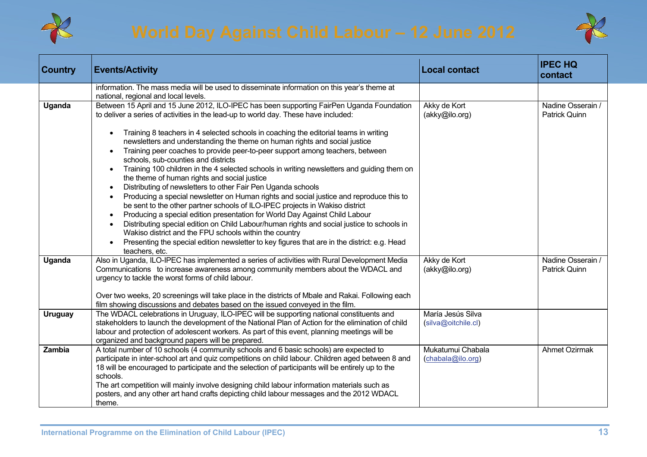



| <b>Country</b> | <b>Events/Activity</b>                                                                                                                                                                                                                                                                                                                                                                                                                                                                                                                                                                                                                                                                                                                                                                                                                                                                                                                                                                                                                                                                                                                                                                                                                                                                                                      | <b>Local contact</b>                     | <b>IPEC HQ</b><br>contact          |
|----------------|-----------------------------------------------------------------------------------------------------------------------------------------------------------------------------------------------------------------------------------------------------------------------------------------------------------------------------------------------------------------------------------------------------------------------------------------------------------------------------------------------------------------------------------------------------------------------------------------------------------------------------------------------------------------------------------------------------------------------------------------------------------------------------------------------------------------------------------------------------------------------------------------------------------------------------------------------------------------------------------------------------------------------------------------------------------------------------------------------------------------------------------------------------------------------------------------------------------------------------------------------------------------------------------------------------------------------------|------------------------------------------|------------------------------------|
|                | information. The mass media will be used to disseminate information on this year's theme at<br>national, regional and local levels.                                                                                                                                                                                                                                                                                                                                                                                                                                                                                                                                                                                                                                                                                                                                                                                                                                                                                                                                                                                                                                                                                                                                                                                         |                                          |                                    |
| Uganda         | Between 15 April and 15 June 2012, ILO-IPEC has been supporting FairPen Uganda Foundation<br>to deliver a series of activities in the lead-up to world day. These have included:<br>Training 8 teachers in 4 selected schools in coaching the editorial teams in writing<br>$\bullet$<br>newsletters and understanding the theme on human rights and social justice<br>Training peer coaches to provide peer-to-peer support among teachers, between<br>$\bullet$<br>schools, sub-counties and districts<br>Training 100 children in the 4 selected schools in writing newsletters and guiding them on<br>$\bullet$<br>the theme of human rights and social justice<br>Distributing of newsletters to other Fair Pen Uganda schools<br>$\bullet$<br>Producing a special newsletter on Human rights and social justice and reproduce this to<br>$\bullet$<br>be sent to the other partner schools of ILO-IPEC projects in Wakiso district<br>Producing a special edition presentation for World Day Against Child Labour<br>$\bullet$<br>Distributing special edition on Child Labour/human rights and social justice to schools in<br>$\bullet$<br>Wakiso district and the FPU schools within the country<br>Presenting the special edition newsletter to key figures that are in the district: e.g. Head<br>teachers, etc. | Akky de Kort<br>(akky@ilo.org)           | Nadine Osserain /<br>Patrick Quinn |
| Uganda         | Also in Uganda, ILO-IPEC has implemented a series of activities with Rural Development Media<br>Communications to increase awareness among community members about the WDACL and<br>urgency to tackle the worst forms of child labour.<br>Over two weeks, 20 screenings will take place in the districts of Mbale and Rakai. Following each<br>film showing discussions and debates based on the issued conveyed in the film.                                                                                                                                                                                                                                                                                                                                                                                                                                                                                                                                                                                                                                                                                                                                                                                                                                                                                               | Akky de Kort<br>(akky@ilo.org)           | Nadine Osserain /<br>Patrick Quinn |
| <b>Uruguay</b> | The WDACL celebrations in Uruguay, ILO-IPEC will be supporting national constituents and<br>stakeholders to launch the development of the National Plan of Action for the elimination of child<br>labour and protection of adolescent workers. As part of this event, planning meetings will be<br>organized and background papers will be prepared.                                                                                                                                                                                                                                                                                                                                                                                                                                                                                                                                                                                                                                                                                                                                                                                                                                                                                                                                                                        | María Jesús Silva<br>(silva@oitchile.cl) |                                    |
| <b>Zambia</b>  | A total number of 10 schools (4 community schools and 6 basic schools) are expected to<br>participate in inter-school art and quiz competitions on child labour. Children aged between 8 and<br>18 will be encouraged to participate and the selection of participants will be entirely up to the<br>schools.<br>The art competition will mainly involve designing child labour information materials such as<br>posters, and any other art hand crafts depicting child labour messages and the 2012 WDACL<br>theme.                                                                                                                                                                                                                                                                                                                                                                                                                                                                                                                                                                                                                                                                                                                                                                                                        | Mukatumui Chabala<br>(chabala@ilo.org)   | <b>Ahmet Ozirmak</b>               |